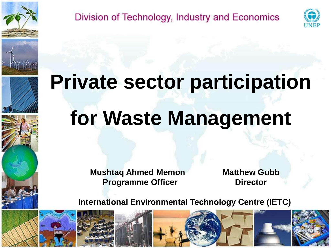





# **Private sector participation for Waste Management**

Division of Technology, Industry and Economics

**Mushtaq Ahmed Memon Matthew Gubb Programme Officer <b>Director** 

**International Environmental Technology Centre (IETC)**

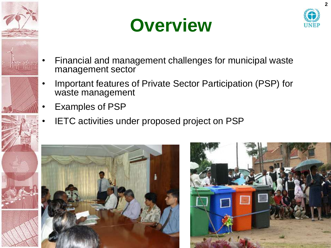





- Financial and management challenges for municipal waste management sector
- Important features of Private Sector Participation (PSP) for waste management
- Examples of PSP
- IETC activities under proposed project on PSP



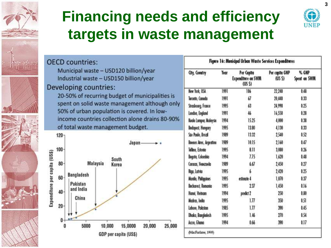

#### **Financing needs and efficiency targets in waste management**



**3**

|                               | <b>OECD</b> countries:                                                          | Figure 16: Municipal Urban Waste Services Expenditures |      |                                                   |                         |                       |
|-------------------------------|---------------------------------------------------------------------------------|--------------------------------------------------------|------|---------------------------------------------------|-------------------------|-----------------------|
|                               | Municipal waste - USD120 billion/year<br>Industrial waste - USD150 billion/year | <b>City, Country</b>                                   | Year | Per Capita<br><b>Expenditure on SWM</b><br>(US S) | Per capita GNP<br>(USS) | % GNP<br>Spent on SWM |
| Developing countries:         |                                                                                 | New York, USA                                          | 1991 | 106                                               | 22,240                  | 0.48                  |
|                               | 20-50% of recurring budget of municipalities is                                 | Toronto, Canada                                        | 1991 | 67                                                | 20,440                  | 0.33                  |
|                               | spent on solid waste management although only                                   | Strasbourg, France                                     | 1995 | 63                                                | 24,990                  | 0.25                  |
|                               | 50% of urban population is covered. In low-                                     | London, England                                        | 1991 | 46                                                | 16,550                  | 0.28                  |
|                               | income countries collection alone drains 80-90%                                 | Kuolo Lompur, Molaysto                                 | 1994 | 15.25                                             | 4,000                   | 0.38                  |
|                               | of total waste management budget.                                               | <b>Budopest, Hungary</b>                               | 1995 | 13.80                                             | 4,130                   | 0.33                  |
| $120 -$                       |                                                                                 | São Paulo, Brazil                                      | 1989 | 13.32                                             | 2,540                   | 0.52                  |
|                               | Japan-                                                                          | Brenos Aires, Argentino                                | 1989 | 10.15                                             | 2.160                   | 0.47                  |
| 100 <sub>1</sub>              |                                                                                 | Tollinn, Estonia                                       | 1995 | 8.11                                              | 3,000                   | 0.26                  |
|                               | South                                                                           | Begota, Colombia                                       | 1994 | 7.75                                              | 1,620                   | 0.48                  |
| $80 -$                        | Malaysia<br>Korea                                                               | Caracas, Venezuela                                     | 1989 | 6.67                                              | 2,450                   | 0.27                  |
|                               |                                                                                 | Rigo, Latvia                                           | 1995 |                                                   | 2,420                   | 0.25                  |
| 60                            | <b>Bangladesh</b>                                                               | Monila, Philippines                                    | 1995 | estimate 4                                        | 1,070                   | 0.37                  |
|                               | Pakistan<br>and India                                                           | <b>Bucharest Romanta</b>                               | 1995 | 237                                               | 1,450                   | 0.16                  |
| $40 -$                        |                                                                                 | Hanol, Vietnam                                         | 1994 | predict 2                                         | 250                     | 0.80                  |
| Expenditure per capita (US\$) | China                                                                           | Madros, India                                          | 1995 | 1.77                                              | 350                     | 0.51                  |
| $20 -$                        |                                                                                 | Lahore, Pakistan                                       | 1985 | 1.77                                              | 390                     | 0.45                  |
| 0                             | ٧Y                                                                              | Dhaka, Bangladesh                                      | 1995 | 1.46                                              | 270                     | 0.54                  |
|                               | 5000<br>10,000<br>15,0000<br>20,000<br>25,000                                   | Accro, Ghana                                           | 1994 | 0.66                                              | 390                     | 0.17                  |
|                               | GDP per capita (US\$)                                                           | (MacFarlane, 1998)                                     |      |                                                   |                         |                       |
|                               |                                                                                 |                                                        |      |                                                   |                         |                       |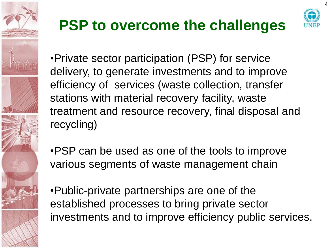

### **PSP to overcome the challenges**



**4**

•Private sector participation (PSP) for service delivery, to generate investments and to improve efficiency of services (waste collection, transfer stations with material recovery facility, waste treatment and resource recovery, final disposal and recycling)

•PSP can be used as one of the tools to improve various segments of waste management chain

•Public-private partnerships are one of the established processes to bring private sector investments and to improve efficiency public services.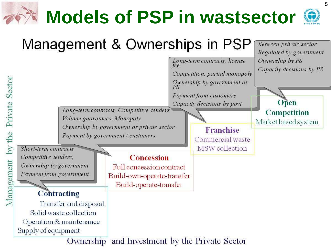# **Models of PSP in wastsector**



#### Management & Ownerships in PSP Between private sector Regulated by government Long-term contracts, license Ownership by PS Capacity decisions by PS Competition, partial monopoly by the Private Sector Ownership by government or Payment from customers Open Capacity decisions by govt. Long-term contracts, Competitive tenders **Competition** Volume guarantees, Monopoly Market based system Ownership by government or private sector **Franchise** Payment by government / customers Commercial waste MSW collection Short-term contracts Competitive tenders, **Concession** Management Ownership by government Full concession contract Payment from government Build-own-operate-transfer Build-operate-transfer **Contracting** Transfer and disposal Solid waste collection Operation & maintenance Supply of equipment Ownership and Investment by the Private Sector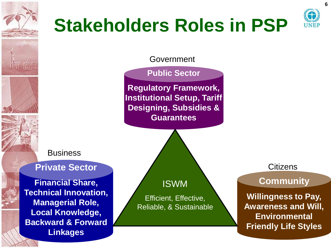

## **Stakeholders Roles in PSP**



Government

**Public Sector**

**Regulatory Framework, Institutional Setup, Tariff Designing, Subsidies & Guarantees**

**Business** 

#### **Private Sector**

**Financial Share, Technical Innovation, Managerial Role, Local Knowledge, Backward & Forward Linkages** 

ISWM

Efficient, Effective, Reliable, & Sustainable **Citizens** 

#### **Community**

**Willingness to Pay, Awareness and Will, Environmental Friendly Life Styles**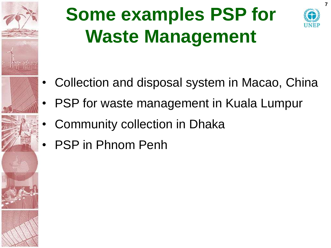

## **Some examples PSP for Waste Management**



**7**

- Collection and disposal system in Macao, China
- PSP for waste management in Kuala Lumpur
- Community collection in Dhaka
- PSP in Phnom Penh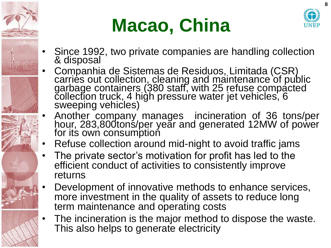

## **Macao, China**



- Since 1992, two private companies are handling collection & disposal
- Companhia de Sistemas de Residuos, Limitada (CSR) carries out collection, cleaning and maintenance of public garbage containers (380 staff, with 25 refuse compacted collection truck, 4 high pressure water jet vehicles, 6 sweeping vehicles)
- Another company manages incineration of 36 tons/per hour, 283,800tonś/per yeăr and generated 12MW of power for its own consumption
- Refuse collection around mid-night to avoid traffic jams
- The private sector's motivation for profit has led to the efficient conduct of activities to consistently improve returns
- Development of innovative methods to enhance services, more investment in the quality of assets to reduce long term maintenance and operating costs
- The incineration is the major method to dispose the waste. This also helps to generate electricity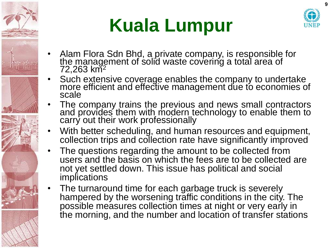

## **Kuala Lumpur**



- Alam Flora Sdn Bhd, a private company, is responsible for the management of solid waste covering a total area of  $72,263$  km<sup>2</sup>
- Such extensive coverage enables the company to undertake more efficient and effective management due to economies of scale
- The company trains the previous and news small contractors and provides them with modern technology to enable them to carry out their work professionally
- With better scheduling, and human resources and equipment, collection trips and collection rate have significantly improved
- The questions regarding the amount to be collected from users and the basis on which the fees are to be collected are not yet settled down. This issue has political and social implications
- The turnaround time for each garbage truck is severely hampered by the worsening traffic conditions in the city. The possible measures collection times at night or very early in the morning, and the number and location of transfer stations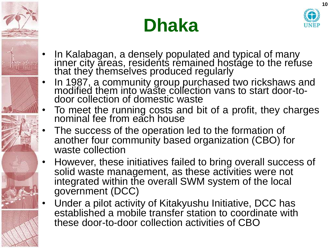





- In Kalabagan, a densely populated and typical of many inner city areas, residents remained hostage to the refuse that they themselves produced regularly
- In 1987, a community group purchased two rickshaws and modified them into waste collection vans to start door-todoor collection of domestic waste
- To meet the running costs and bit of a profit, they charges nominal fee from each house
	- The success of the operation led to the formation of another four community based organization (CBO) for waste collection
- However, these initiatives failed to bring overall success of solid waste management, as these activities were not integrated within the overall SWM system of the local government (DCC)
- Under a pilot activity of Kitakyushu Initiative, DCC has established a mobile transfer station to coordinate with these door-to-door collection activities of CBO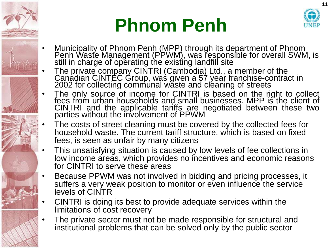

## **Phnom Penh**



- Municipality of Phnom Penh (MPP) through its department of Phnom Penh Waste Management (PPWM), was responsible for overall SWM, is still in charge of operating the existing landfill site
- The private company CINTRI (Cambodia) Ltd., a member of the Canadian CINTEC Group, was given a 57 year franchise-contract in 2002 for collecting communal waste and cleaning of streets
- The only source of income for CINTRI is based on the right to collect fees from urban households and small businesses. MPP is the client of CINTRI and the applicable tariffs are negotiated between these two parties without the involvement of PPWM
- The costs of street cleaning must be covered by the collected fees for household waste. The current tariff structure, which is based on fixed fees, is seen as unfair by many citizens
- This unsatisfying situation is caused by low levels of fee collections in low income areas, which provides no incentives and economic reasons for CINTRI to serve these areas
- Because PPWM was not involved in bidding and pricing processes, it suffers a very weak position to monitor or even influence the service levels of CINTR
- CINTRI is doing its best to provide adequate services within the limitations of cost recovery
- The private sector must not be made responsible for structural and institutional problems that can be solved only by the public sector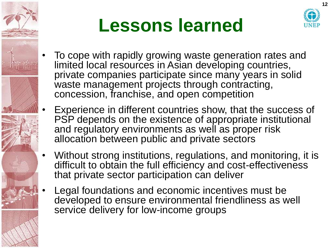



- To cope with rapidly growing waste generation rates and limited local resources in Asian developing countries, private companies participate since many years in solid waste management projects through contracting, concession, franchise, and open competition
- Experience in different countries show, that the success of PSP depends on the existence of appropriate institutional and regulatory environments as well as proper risk allocation between public and private sectors
- Without strong institutions, regulations, and monitoring, it is difficult to obtain the full efficiency and cost-effectiveness that private sector participation can deliver
- Legal foundations and economic incentives must be developed to ensure environmental friendliness as well service delivery for low-income groups

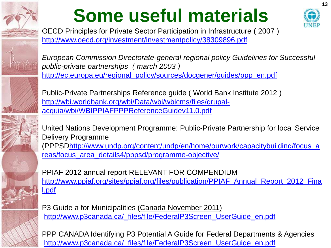

# **Some useful materials**



**13**

OECD Principles for Private Sector Participation in Infrastructure ( 2007 ) <http://www.oecd.org/investment/investmentpolicy/38309896.pdf>

*European Commission Directorate-general regional policy Guidelines for Successful public-private partnerships ( march 2003 )* [http://ec.europa.eu/regional\\_policy/sources/docgener/guides/ppp\\_en.pdf](http://ec.europa.eu/regional_policy/sources/docgener/guides/ppp_en.pdf)

Public-Private Partnerships Reference guide ( World Bank Institute 2012 ) [http://wbi.worldbank.org/wbi/Data/wbi/wbicms/files/drupal](http://wbi.worldbank.org/wbi/Data/wbi/wbicms/files/drupal-acquia/wbi/WBIPPIAFPPPReferenceGuidev11.0.pdf)[acquia/wbi/WBIPPIAFPPPReferenceGuidev11.0.pdf](http://wbi.worldbank.org/wbi/Data/wbi/wbicms/files/drupal-acquia/wbi/WBIPPIAFPPPReferenceGuidev11.0.pdf)

United Nations Development Programme: Public-Private Partnership for local Service Delivery Programme (PPPSD[http://www.undp.org/content/undp/en/home/ourwork/capacitybuilding/focus\\_a](http://www.undp.org/content/undp/en/home/ourwork/capacitybuilding/focus_areas/focus_area_details4/pppsd/programme-objective/) [reas/focus\\_area\\_details4/pppsd/programme-objective/](http://www.undp.org/content/undp/en/home/ourwork/capacitybuilding/focus_areas/focus_area_details4/pppsd/programme-objective/)

PPIAF 2012 annual report RELEVANT FOR COMPENDIUM [http://www.ppiaf.org/sites/ppiaf.org/files/publication/PPIAF\\_Annual\\_Report\\_2012\\_Fina](http://www.ppiaf.org/sites/ppiaf.org/files/publication/PPIAF_Annual_Report_2012_Final.pdf) [l.pdf](http://www.ppiaf.org/sites/ppiaf.org/files/publication/PPIAF_Annual_Report_2012_Final.pdf)

P3 Guide a for Municipalities (Canada November 2011) [http://www.p3canada.ca/\\_files/file/FederalP3Screen\\_UserGuide\\_en.pdf](http://www.p3canada.ca/_files/file/FederalP3Screen_UserGuide_en.pdf)

PPP CANADA Identifying P3 Potential A Guide for Federal Departments & Agencies [http://www.p3canada.ca/\\_files/file/FederalP3Screen\\_UserGuide\\_en.pdf](http://www.p3canada.ca/_files/file/FederalP3Screen_UserGuide_en.pdf)